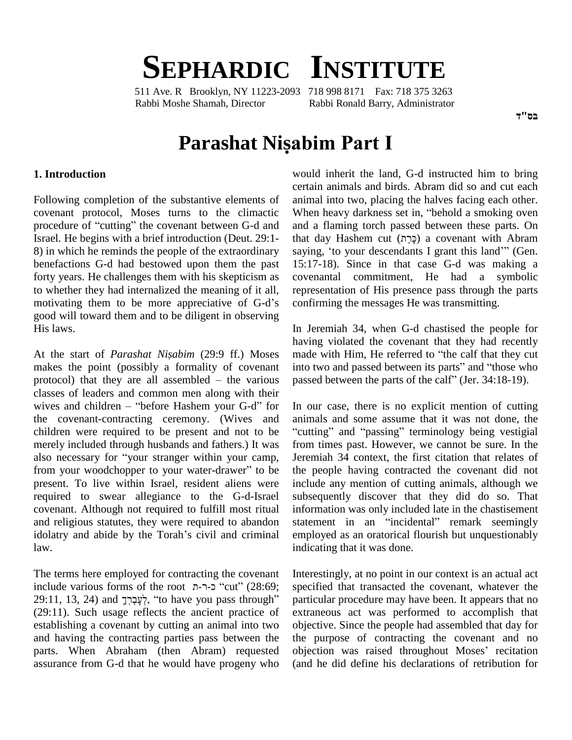# **SEPHARDIC INSTITUTE**

511 Ave. R Brooklyn, NY 11223-2093 718 998 8171 Fax: 718 375 3263 Rabbi Moshe Shamah, Director Rabbi Ronald Barry, Administrator

# **Parashat Nisabim Part <sup>I</sup>**

#### **1. Introduction**

Following completion of the substantive elements of covenant protocol, Moses turns to the climactic procedure of "cutting" the covenant between G-d and 8) in which he reminds the people of the extraordinary benefactions G-d had bestowed upon them the past forty years. He challenges them with his skepticism as covenant to whether they had internalized the meaning of it all, represen motivating them to be more appreciative of G-d's confirmi to whether they had internalized the meaning of it all, good will toward them and to be diligent in observing His laws.

At the start of *Parashat Nisabim* (29:9 ff.) Moses makes the point (possibly a formality of covenant into two and passed between its parts" and "those who At the start of *Parashat Nişabim* (29:9 ff.) Moses mad<br>makes the point (possibly a formality of covenant into<br>protocol) that they are all assembled – the various pass classes of leaders and common men along with their protocol) that they are all assembled – the various pas<br>classes of leaders and common men along with their<br>wives and children – "before Hashem your G-d" for In the covenant-contracting ceremony. (Wives and children were required to be present and not to be "cuttinerely included through husbands and fathers.) It was from also necessary for "your stranger within your camp, Jeren merely included through husbands and fathers.) It was also necessary for "your stranger within your camp, from your woodchopper to your water-drawer" to be present. To live within Israel, resident aliens were required to swear allegiance to the G-d-Israel covenant. Although not required to fulfill most ritual and religious statutes, they were required to abandon idolatry and abide by the Torah's civil and criminal law.

The terms here employed for contracting the covenant include various forms of the root ר-ר.ת "cut" (28:69;  $29:11, 13, 24$ ) and לְעֲבָרֶךְ, "to have you pass through" (29:11). Such usage reflects the ancient practice of establishing a covenant by cutting an animal into two and having the contracting parties pass between the parts. When Abraham (then Abram) requested assurance from G-d that he would have progeny who

Israel. He begins with a brief introduction (Deut. 29:1 would inherit the land, G-d instructed him to bring certain animals and birds. Abram did so and cut each animal into two, placing the halves facing each other. certain animals and birds. Abram did so and cut each<br>animal into two, placing the halves facing each other.<br>When heavy darkness set in, "behold a smoking oven and a flaming torch passed between these parts. On When heavy darkness set in, "behold a smoking oven<br>and a flaming torch passed between these parts. On<br>that day Hashem cut (כָּרֵה) a covenant with Abram saying, 'to your descendants I grant this land'" (Gen. 15:17-18). Since in that case G-d was making a covenantal commitment, He had a symbolic representation of His presence pass through the parts confirming the messages He was transmitting.

> In Jeremiah 34, when G-d chastised the people for having violated the covenant that they had recently In Jeremiah 34, when G-d chastised the people for<br>having violated the covenant that they had recently<br>made with Him, He referred to "the calf that they cut having violated the covenant that they had recently<br>made with Him, He referred to "the calf that they cut<br>into two and passed between its parts" and "those who made with Him, He referred to "the calf that they cut<br>into two and passed between its parts" and "those who<br>passed between the parts of the calf" (Jer. 34:18-19).

> In our case, there is no explicit mention of cutting animals and some assume that it was not done, the "cutting" and "passing" terminology being vestigial from times past. However, we cannot be sure. In the Jeremiah 34 context, the first citation that relates of the people having contracted the covenant did not include any mention of cutting animals, although we subsequently discover that they did do so. That information was only included late in the chastisement statement in an "incidental" remark seemingly employed as an oratorical flourish but unquestionably indicating that it was done.

Interestingly, at no point in our context is an actual act specified that transacted the covenant, whatever the particular procedure may have been. It appears that no extraneous act was performed to accomplish that objective. Since the people had assembled that day for the purpose of contracting the covenant and no objection was raised throughout Moses' recitation (and he did define his declarations of retribution for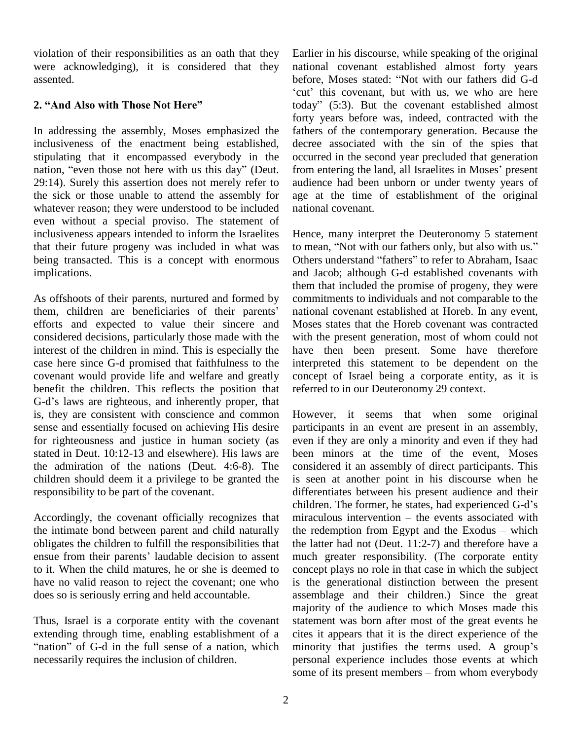violation of their responsibilities as an oath that they were acknowledging), it is considered that they assented.

## **2. ìAnd Also with Those Not Hereî**

In addressing the assembly, Moses emphasized the inclusiveness of the enactment being established, stipulating that it encompassed everybody in the nation, "even those not here with us this day" (Deut. from entering the land, all Israelites in Moses' present 29:14). Surely this assertion does not merely refer to the sick or those unable to attend the assembly for whatever reason; they were understood to be included even without a special proviso. The statement of inclusiveness appears intended to inform the Israelites that their future progeny was included in what was being transacted. This is a concept with enormous Others understand "fathers" to refer to Abraham, Isaac implications.

As offshoots of their parents, nurtured and formed by the<br>As offshoots of their parents, nurtured and formed by<br>them, children are beneficiaries of their parents' nat efforts and expected to value their sincere and considered decisions, particularly those made with the interest of the children in mind. This is especially the case here since G-d promised that faithfulness to the covenant would provide life and welfare and greatly benefit the children. This reflects the position that recovenant would provide life and welfare and greatly coverefit the children. This reflects the position that re G-d's laws are righteous, and inherently proper, that is, they are consistent with conscience and common sense and essentially focused on achieving His desire for righteousness and justice in human society (as stated in Deut. 10:12-13 and elsewhere). His laws are the admiration of the nations (Deut. 4:6-8). The children should deem it a privilege to be granted the responsibility to be part of the covenant.

Accordingly, the covenant officially recognizes that miraculous intervention – the events associated with the intimate bond between parent and child naturally obligates the children to fulfill the responsibilities that the intimate bond between parent and child naturally<br>obligates the children to fulfill the responsibilities that<br>then their parents' laudable decision to assent to it. When the child matures, he or she is deemed to have no valid reason to reject the covenant; one who does so is seriously erring and held accountable.

Thus, Israel is a corporate entity with the covenant statem<br>extending through time, enabling establishment of a cites i<br>"nation" of G-d in the full sense of a nation, which minor extending through time, enabling establishment of a necessarily requires the inclusion of children.

Earlier in his discourse, while speaking of the original national covenant established almost forty years Earlier in his discourse, while speaking of the original<br>national covenant established almost forty years<br>before, Moses stated: "Not with our fathers did G-d national covenant established almost forty years<br>before, Moses stated: "Not with our fathers did G-d<br>'cut' this covenant, but with us, we who are here before, Moses stated: "Not with our fathers did G-d<br>
'cut' this covenant, but with us, we who are here<br>
today" (5:3). But the covenant established almost forty years before was, indeed, contracted with the fathers of the contemporary generation. Because the decree associated with the sin of the spies that occurred in the second year precluded that generation from entering the land, all Israelites in Moses' present occurred in the second year precluded that generation audience had been unborn or under twenty years of age at the time of establishment of the original national covenant.

Hence, many interpret the Deuteronomy 5 statement Hence, many interpret the Deuteronomy 5 statement<br>to mean, "Not with our fathers only, but also with us." Hence, many interpret the Deuteronomy 5 statement<br>to mean, "Not with our fathers only, but also with us."<br>Others understand "fathers" to refer to Abraham, Isaac and Jacob; although G-d established covenants with them that included the promise of progeny, they were commitments to individuals and not comparable to the national covenant established at Horeb. In any event, Moses states that the Horeb covenant was contracted with the present generation, most of whom could not have then been present. Some have therefore interpreted this statement to be dependent on the concept of Israel being a corporate entity, as it is referred to in our Deuteronomy 29 context.

However, it seems that when some original participants in an event are present in an assembly, even if they are only a minority and even if they had been minors at the time of the event, Moses considered it an assembly of direct participants. This is seen at another point in his discourse when he children. The former, he states, had experienced G-dí<sup>s</sup> differentiates between his present audience and their<br>children. The former, he states, had experienced G-d's<br>miraculous intervention – the events associated with children. The former, he states, had experienced  $G-d's$  miraculous intervention – the events associated with the redemption from Egypt and the Exodus – which the latter had not (Deut. 11:2-7) and therefore have a much greater responsibility. (The corporate entity concept plays no role in that case in which the subject is the generational distinction between the present assemblage and their children.) Since the great majority of the audience to which Moses made this statement was born after most of the great events he<br>cites it appears that it is the direct experience of the<br>minority that justifies the terms used. A group's cites it appears that it is the direct experience of the personal experience includes those events at which minority that justifies the terms used. A group's<br>personal experience includes those events at which<br>some of its present members – from whom everybody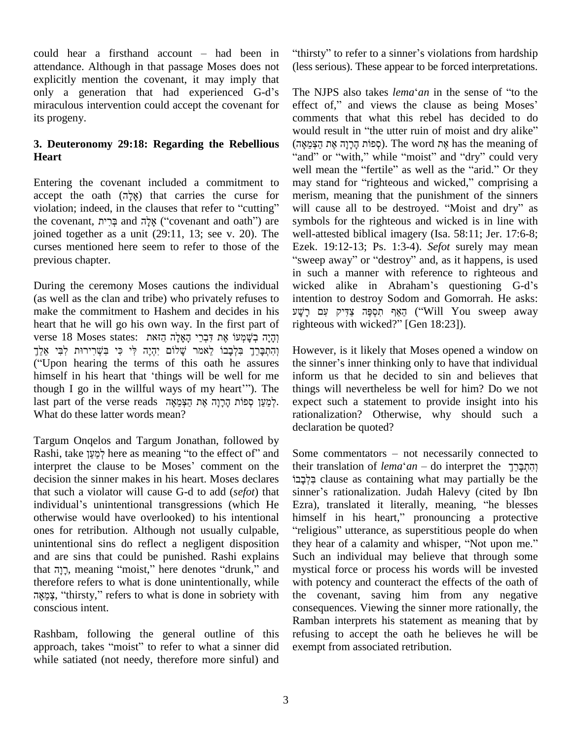could hear a firsthand account  $-$  had been in attendance. Although in that passage Moses does not (less<br>explicitly mention the covenant, it may imply that<br>only a generation that had experienced G-d's The explicitly mention the covenant, it may imply that miraculous intervention could accept the covenant for effect of," and views the clause as being Moses' its progeny.

## **3. Deuteronomy 29:18: Regarding the Rebellious Heart**

Entering the covenant included a commitment to we<br>Entering the covenant included a commitment to ma<br>accept the oath (אֶלֶה) that carries the curse for me Entering the covenant included a commitment to may<br>accept the oath (אֶלֶה) that carries the curse for meris<br>violation; indeed, in the clauses that refer to "cutting" will accept the oath (אָלֶה) that carries the curse for meris violation; indeed, in the clauses that refer to "cutting" will<br>the covenant, בְּרִית and אָלָה and אָלָה ("covenant and oath") are symb joined together as a unit (29:11, 13; see v. 20). The curses mentioned here seem to refer to those of the previous chapter.

During the ceremony Moses cautions the individual (as well as the clan and tribe) who privately refuses to make the commitment to Hashem and decides in his heart that he will go his own way. In the first part of rigl make the commitment to Hashem and decides in his  $\nu$ yuheart that he will go his own way. In the first part of any terse 18 Moses states: הָאֶלֶה הַאָּא דִּבְרֵי הָאָלָה הַזּאת heart that he will go his own way. In the first part of ⊔rig<br>yerse 18 Moses states: תְּכָתְּ דִּעֲשְֽלֹוּ עָת דִּבְרֵי הָאָלָה הַזאת<br>דהתברד בלבבו לאמר שלום יהיה לי כי בשרירוּת לבי אלד וְהָיָה בְעָׁקִיטוֹ אֶת דִּבְרֵי הָאָלָה הַזּאת יִהְיֶה לִּי בִּשְׁרִירוּת לִבִּי אֵלֵךְ<br>הַתְּבָּרֵךְ בִּלְבָבוֹ לֵאמֹר שָׁלוֹם יִהְיֶה לִּי בִּשְׁרִירוּת לִבִּי אֵלֵךְ<br>Upon hearing the terms of this oath he assures – the וְהִתְּבָּרֵךְ בִּלְבָבוֹ לֵאמֹר שָׁלוֹם יִהְיֶה לִּי בִּשְׁרִירוּת לִבִּי אֵלֵךְ Howe<br>Himself in his heart that 'things will be well for me<br>informe inform ("Upon hearing the terms of this oath he assures the si<br>himself in his heart that 'things will be well for me infort<br>though I go in the willful ways of my heart'"). The thing himself in his heart that 'things will be well for me in<br>though I go in the willful ways of my heart'''). The th<br>last part of the verse reads לְמֵעֲץ סְפוֹת הָרָרָה אֶת הַצְּמֵאָה. What do these latter words mean?

Targum Onqelos and Targum Jonathan, followed by declar<br>Targum Onqelos and Targum Jonathan, followed by<br>Rashi, take לְמַעֲץ here as meaning "to the effect of" and Some Fargum Onqelos and Targum Jonathan, followed by<br>Rashi, take לְמַעֲן here as meaning "to the effect of" and Some<br>interpret the clause to be Moses' comment on the their decision the sinner makes in his heart. Moses declares individualí<sup>s</sup> unintentional transgressions (which He that such a violator will cause G-d to add (*sefot*) that otherwise would have overlooked) to his intentional ones for retribution. Although not usually culpable, unintentional sins do reflect a negligent disposition they h<br>and are sins that could be punished. Rashi explains Such<br>that דְּנָה, meaning "moist," here denotes "drunk," and mystic and are sins that could be punished. Rashi explains therefore refers to what is done unintentionally, while רְנָה, meaning "moist," here denotes "drunk," and mystic<br>therefore refers to what is done unintentionally, while with p<br>"צְמֵאֶה, "thirsty," refers to what is done in sobriety with the conscious intent.

Rashbam, following the general outline of this approach, takes "moist" to refer to what a sinner did while satiated (not needy, therefore more sinful) and "thirsty" to refer to a sinner's violations from hardship (less serious). These appear to be forced interpretations.<br>The NJPS also takes *lema*<sup>e</sup>*an* in the sense of "to the

The NJPS also takes *lema'an* in the sense of "to the comments that what this rebel has decided to do effect of," and views the clause as being Moses'<br>comments that what this rebel has decided to do<br>would result in "the utter ruin of moist and dry alike" comments that what this rebel has decided to do<br>would result in "the utter ruin of moist and dry alike"<br>הָפוֹת הָרָרָה אֶת הַצְּמֵאָה). The word אֶת she meaning of would result in "the utter ruin of moist and dry alike" (קפּוֹת הָרָנָה אֶת הַצְּמֵאָה). The word  $n$ shas the meaning of "and" or "with," while "moist" and "dry" could very well mean the "fertile" as well as the "arid." Or they "and" or "with," while "moist" and "dry" could very<br>well mean the "fertile" as well as the "arid." Or they<br>may stand for "righteous and wicked," comprising a merism, meaning that the punishment of the sinners<br>will cause all to be destroyed. "Moist and dry" as may stand for "righteous and wicked," comprising a<br>merism, meaning that the punishment of the sinners<br>will cause all to be destroyed. "Moist and dry" as symbols for the righteous and wicked is in line with well-attested biblical imagery (Isa. 58:11; Jer. 17:6-8;<br>Ezek. 19:12-13; Ps. 1:3-4). *Sefot* surely may mean<br>"sweep away" or "destroy" and, as it happens, is used Ezek. 19:12-13; Ps. 1:3-4). *Sefot* surely may mean in such a manner with reference to righteous and "sweep away" or "destroy" and, as it happens, is used intention to destroy Sodom and Gomorrah. He asks: wicked alike in Abraham's questioning G-d's cked alike in Abraham's questioning G-d's<br>ention to destroy Sodom and Gomorrah. He asks:<br>הַאֲף תִסְפֶּה צַדִּיק עִם רָ intention to destroy Sodom and Gomorral<br>הַאֵף תִּסְפֶּה צַדִּיק עִם רָשָׁע ("Will You sv<br>righteous with wicked?" [Gen 18:23]).

However, is it likely that Moses opened a window on Towever, is it likely that Moses opened a window on<br>the sinner's inner thinking only to have that individual inform us that he decided to sin and believes that things will nevertheless be well for him? Do we not expect such a statement to provide insight into his rationalization? Otherwise, why should such a declaration be quoted?

declaration be quoted?<br>
Some commentators – not necessarily connected to their commentators – not necessarily connected to<br>their translation of *lema*<sup>e</sup>*an* – do interpret the clause as containing what may partially be the their translation of *lemaʿan* – do interpret the<br>יְבִּלְבָּבוּ clause as containing what may partially be the sinner's rationalization. Judah Halevy (cited by Ibn sinner's rationalization. Judah Halevy (cited by Ibn sinner's rationalization. Judah Halevy (cited by Ibn<br>Ezra), translated it literally, meaning, "he blesses<br>himself in his heart," pronouncing a protective Ezra), translated it literally, meaning, "he blesses izra), translated it literally, meaning, "he blesses<br>imself in his heart," pronouncing a protective<br>religious" utterance, as superstitious people do when himself in his heart," pronouncing a protective<br>"religious" utterance, as superstitious people do when<br>they hear of a calamity and whisper, "Not upon me." Such an individual may believe that through some mystical force or process his words will be invested with potency and counteract the effects of the oath of the covenant, saving him from any negative consequences. Viewing the sinner more rationally, the Ramban interprets his statement as meaning that by refusing to accept the oath he believes he will be exempt from associated retribution.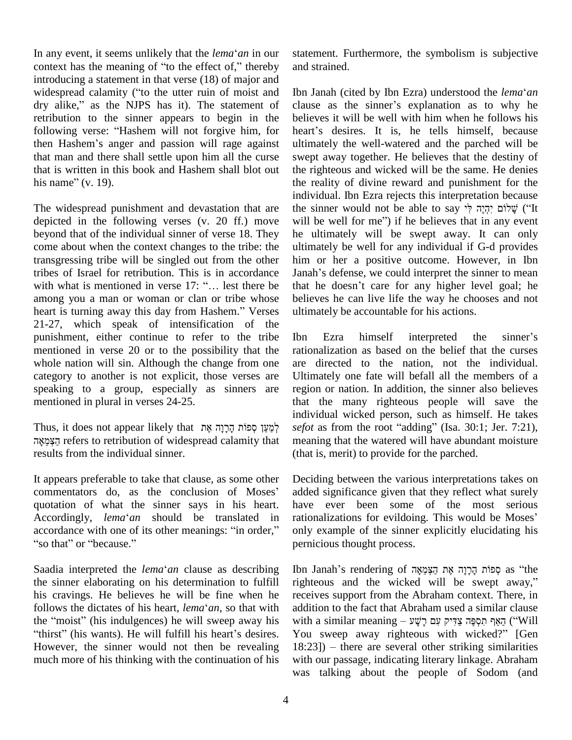In any event, it seems unlikely that the *lema*<sup> $\alpha$ </sup> and in our In any event, it seems unlikely that the *lema<sup>s</sup> an* in our statem context has the meaning of "to the effect of," thereby and str introducing a statement in that verse (18) of major and context has the meaning of "to the effect of," thereby and stituted introducing a statement in that verse (18) of major and widespread calamity ("to the utter ruin of moist and Ibn Ja introducing a statement in that verse (18) of major and<br>widespread calamity ("to the utter ruin of moist and<br>dry alike," as the NJPS has it). The statement of clar retribution to the sinner appears to begin in the beliefollowing verse: "Hashem will not forgive him, for heart then Hashem's anger and passion will rage against ultim dry alike," as the NJPS has it). The statement of clare<br>retribution to the sinner appears to begin in the bel<br>following verse: "Hashem will not forgive him, for hea that man and there shall settle upon him all the curse swep<br>that is written in this book and Hashem shall blot out the ri<br>his name" (v. 19). the r that is written in this book and Hashem shall blot out

The widespread punishment and devastation that are depicted in the following verses (v. 20 ff.) move will be well for me" if he believes that in any event beyond that of the individual sinner of verse 18. They come about when the context changes to the tribe: the transgressing tribe will be singled out from the other tribes of Israel for retribution. This is in accordance transgressing tribe will be singled out from the other him<br>tribes of Israel for retribution. This is in accordance Janak<br>with what is mentioned in verse 17: "... lest there be that among you a man or woman or clan or tribe whose with what is mentioned in verse 17: "... lest there be that among you a man or woman or clan or tribe whose belies<br>heart is turning away this day from Hashem." Verses ultir 21-27, which speak of intensification of the punishment, either continue to refer to the tribe mentioned in verse 20 or to the possibility that the whole nation will sin. Although the change from one category to another is not explicit, those verses are speaking to a group, especially as sinners are mentioned in plural in verses 24-25.

 refers to retribution of widespread calamity that results from the individual sinner.

It appears preferable to take that clause, as some other Dee It appears preferable to take that clause, as some other Dee<br>commentators do, as the conclusion of Moses' add quotation of what the sinner says in his heart. commentators do, as the conclusion of Moses' added<br>quotation of what the sinner says in his heart. have<br>Accordingly, *lema*'an should be translated in rational quotation of what the sinner says in his heart. have<br>Accordingly, *lema'an* should be translated in ration<br>accordance with one of its other meanings: "in order," only coordingly, *lema'an* shou<br>coordance with one of its other<br>so that" or "because." Saadia interpreted the *lema*ë*an* clause as describing

the sinner elaborating on his determination to fulfill righted his cravings. He believes he will be fine when he receiver follows the dictates of his heart, *lema<sup>s</sup>an*, so that with addition his cravings. He believes he will be fine when he received follows the dictates of his heart, *lema'an*, so that with addit the "moist" (his indulgences) he will sweep away his with follows the dictates of his heart, *lema'an*, so that with addition to the fact that Abraham used a similar clause<br>the "moist" (his indulgences) he will sweep away his with a similar meaning – אֲדִּיק עָם רָשָׁל ("Will") However, the sinner would not then be revealing  $18:23$ ) – there are several other striking similarities much more of his thinking with the continuation of his

statement. Furthermore, the symbolism is subjective and strained. Ibn Janah (cited by Ibn Ezra) understood the *lema*ë*an*

Ibn Janah (cited by Ibn Ezra) understood the *lema<sup>s</sup>an*<br>clause as the sinner's explanation as to why he believes itwill be well with him when he follows his clause as the sinner's explanation as to why he<br>believes it will be well with him when he follows his<br>heart's desires. It is, he tells himself, because ultimately the well-watered and the parched will be swept away together. He believes that the destiny of the righteous and wicked will be the same. He denies the reality of divine reward and punishment for the individual. Ibn Ezra rejects this interpretation because the reality of divine reward and punishment for the individual. Ibn Ezra rejects this interpretation because<br>the sinner would not be able to say יָקֶיָה לְיֹ individual. Ibn Ezra rejects this interpretation because<br>the sinner would not be able to say יִהְיֶה לְיֹ $\ddot{ }$  ("It<br>will be well for me") if he believes that in any event he ultimately will be swept away. It can only ultimately be well for any individual if G-d provides<br>him or her a positive outcome. However, in Ibn<br>Janah's defense, we could interpret the sinner to mean him or her a positive outcome. However, in Ibn Janah's defense, we could interpret the sinner to mean<br>that he doesn't care for any higher level goal; he believes he can live life the way he chooses and not

Thus, it does not appear likely that לְמֵעֵּן סְפוֹת הָרָוָה sefot as from the root "adding" (Isa. 30:1; Jer. 7:21), ultimately be accountable for his actions.<br>
Ibn Ezra himself interpreted the sinner's rationalization as based on the belief that the curses are directed to the nation, not the individual. Ultimately one fate will befall all the members of a region or nation. In addition, the sinner also believes that the many righteous people will save the individual wicked person, such as himself. He takes that the many righteous people will save the individual wicked person, such as himself. He takes *sefot* as from the root "adding" (Isa. 30:1; Jer. 7:21), meaning that the watered will have abundant moisture (that is, merit) to provide for the parched.

> Deciding between the various interpretations takes on added significance given that they reflect what surely<br>have ever been some of the most serious<br>rationalizations for evildoing. This would be Moses' have ever been some of the most serious only example of the sinner explicitly elucidating his pernicious thought process.

> Ibn Janah's rendering of הַבְּמֵאָה אֶת הַצְּמֵאָה as "the righteous and the wicked will be swept away," receives support from the Abraham context. There, in addition to the fact that Abraham used a similar clause receives support from the Abraham context. There, in<br>addition to the fact that Abraham used a similar clause<br>הַאֲף תִסְפֶּה צַדִּיק עִם רָשָׁע יַיְם בִי הַאֲף חִסְפֶּה "Will addition to the fact that Abraham used a similar clause<br>with a similar meaning – צְדִּיק עָם רָשָׁע ("Will You sweep away righteous with wicked?" [Gen with a similar meaning – הַאֲף תִּסְפֶּה צַדִּיק עִם רָשָׁע<br>18:23]) – there are several other striking similarities<br>18:23]) – there are several other striking similarities with our passage, indicating literary linkage. Abraham was talking about the people of Sodom (and